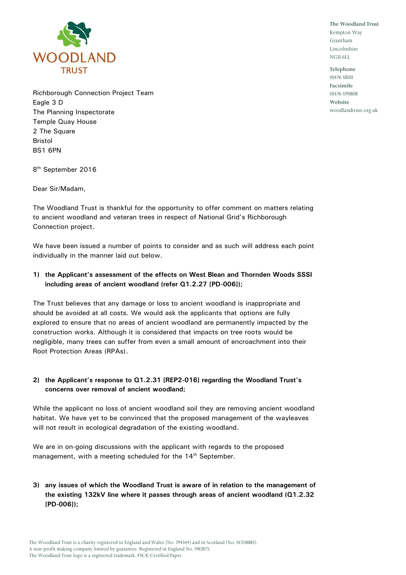

**The Woodland Trust** Kempton Way Grantham **Lincolnshire** NG31 6LL

**Telephone** 01476 581111 **Facsimile** 01476 590808 **Website** woodlandtrust.org.uk

Richborough Connection Project Team Eagle 3 D The Planning Inspectorate Temple Quay House 2 The Square Bristol BS1 6PN

8 th September 2016

Dear Sir/Madam,

The Woodland Trust is thankful for the opportunity to offer comment on matters relating to ancient woodland and veteran trees in respect of National Grid's Richborough Connection project.

We have been issued a number of points to consider and as such will address each point individually in the manner laid out below.

## **1) the Applicant's assessment of the effects on West Blean and Thornden Woods SSSI including areas of ancient woodland (refer Q1.2.27 [PD-006]);**

The Trust believes that any damage or loss to ancient woodland is inappropriate and should be avoided at all costs. We would ask the applicants that options are fully explored to ensure that no areas of ancient woodland are permanently impacted by the construction works. Although it is considered that impacts on tree roots would be negligible, many trees can suffer from even a small amount of encroachment into their Root Protection Areas (RPAs).

## **2) the Applicant's response to Q1.2.31 [REP2-016] regarding the Woodland Trust's concerns over removal of ancient woodland;**

While the applicant no loss of ancient woodland soil they are removing ancient woodland habitat. We have yet to be convinced that the proposed management of the wayleaves will not result in ecological degradation of the existing woodland.

We are in on-going discussions with the applicant with regards to the proposed management, with a meeting scheduled for the 14<sup>th</sup> September.

# **3) any issues of which the Woodland Trust is aware of in relation to the management of the existing 132kV line where it passes through areas of ancient woodland (Q1.2.32 [PD-006]);**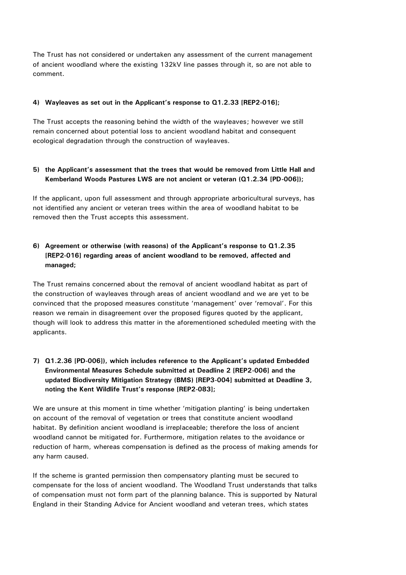The Trust has not considered or undertaken any assessment of the current management of ancient woodland where the existing 132kV line passes through it, so are not able to comment.

### **4) Wayleaves as set out in the Applicant's response to Q1.2.33 [REP2-016];**

The Trust accepts the reasoning behind the width of the wayleaves; however we still remain concerned about potential loss to ancient woodland habitat and consequent ecological degradation through the construction of wayleaves.

## **5) the Applicant's assessment that the trees that would be removed from Little Hall and Kemberland Woods Pastures LWS are not ancient or veteran (Q1.2.34 [PD-006]);**

If the applicant, upon full assessment and through appropriate arboricultural surveys, has not identified any ancient or veteran trees within the area of woodland habitat to be removed then the Trust accepts this assessment.

# **6) Agreement or otherwise (with reasons) of the Applicant's response to Q1.2.35 [REP2-016] regarding areas of ancient woodland to be removed, affected and managed;**

The Trust remains concerned about the removal of ancient woodland habitat as part of the construction of wayleaves through areas of ancient woodland and we are yet to be convinced that the proposed measures constitute 'management' over 'removal'. For this reason we remain in disagreement over the proposed figures quoted by the applicant, though will look to address this matter in the aforementioned scheduled meeting with the applicants.

# **7) Q1.2.36 [PD-006]), which includes reference to the Applicant's updated Embedded Environmental Measures Schedule submitted at Deadline 2 [REP2-006] and the updated Biodiversity Mitigation Strategy (BMS) [REP3-004] submitted at Deadline 3, noting the Kent Wildlife Trust's response [REP2-083];**

We are unsure at this moment in time whether 'mitigation planting' is being undertaken on account of the removal of vegetation or trees that constitute ancient woodland habitat. By definition ancient woodland is irreplaceable; therefore the loss of ancient woodland cannot be mitigated for. Furthermore, mitigation relates to the avoidance or reduction of harm, whereas compensation is defined as the process of making amends for any harm caused.

If the scheme is granted permission then compensatory planting must be secured to compensate for the loss of ancient woodland. The Woodland Trust understands that talks of compensation must not form part of the planning balance. This is supported by Natural England in their Standing Advice for Ancient woodland and veteran trees, which states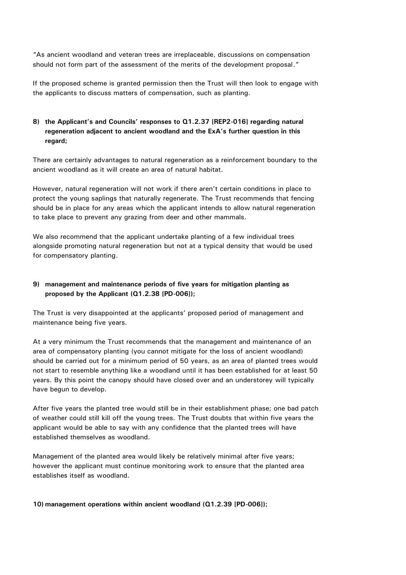"As ancient woodland and veteran trees are irreplaceable, discussions on compensation should not form part of the assessment of the merits of the development proposal."

If the proposed scheme is granted permission then the Trust will then look to engage with the applicants to discuss matters of compensation, such as planting.

# **8) the Applicant's and Councils' responses to Q1.2.37 [REP2-016] regarding natural regeneration adjacent to ancient woodland and the ExA's further question in this regard;**

There are certainly advantages to natural regeneration as a reinforcement boundary to the ancient woodland as it will create an area of natural habitat.

However, natural regeneration will not work if there aren't certain conditions in place to protect the young saplings that naturally regenerate. The Trust recommends that fencing should be in place for any areas which the applicant intends to allow natural regeneration to take place to prevent any grazing from deer and other mammals.

We also recommend that the applicant undertake planting of a few individual trees alongside promoting natural regeneration but not at a typical density that would be used for compensatory planting.

## **9) management and maintenance periods of five years for mitigation planting as proposed by the Applicant (Q1.2.38 [PD-006]);**

The Trust is very disappointed at the applicants' proposed period of management and maintenance being five years.

At a very minimum the Trust recommends that the management and maintenance of an area of compensatory planting (you cannot mitigate for the loss of ancient woodland) should be carried out for a minimum period of 50 years, as an area of planted trees would not start to resemble anything like a woodland until it has been established for at least 50 years. By this point the canopy should have closed over and an understorey will typically have begun to develop.

After five years the planted tree would still be in their establishment phase; one bad patch of weather could still kill off the young trees. The Trust doubts that within five years the applicant would be able to say with any confidence that the planted trees will have established themselves as woodland.

Management of the planted area would likely be relatively minimal after five years; however the applicant must continue monitoring work to ensure that the planted area establishes itself as woodland.

#### **10) management operations within ancient woodland (Q1.2.39 [PD-006]);**